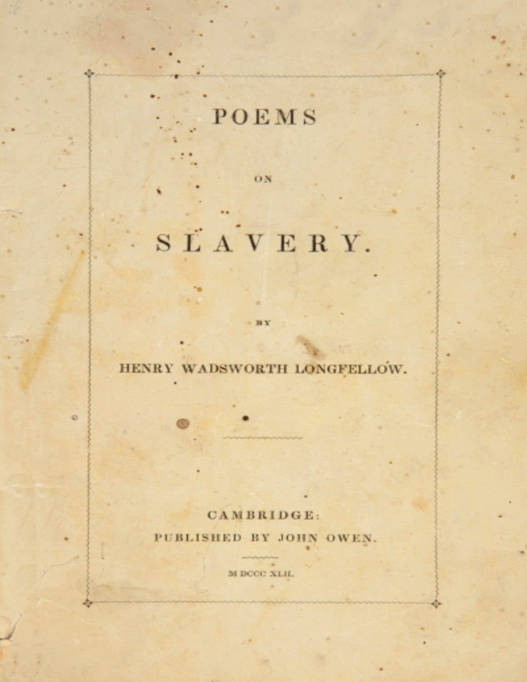## POEMS

ON

# SĽAVERY.

## HENRY WADSWORTH LONGFELLOW.

 $\odot$ 

в х

#### CAMBRIDGE:

PUBLISHED BY JOHN OWEN.

M DCCC XLII.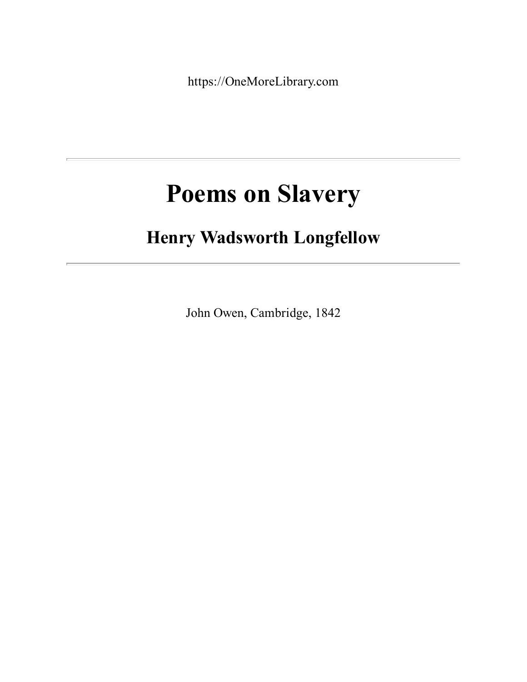https://OneMoreLibrary.com

## **Poems on Slavery**

## **Henry Wadsworth Longfellow**

John Owen, Cambridge, 1842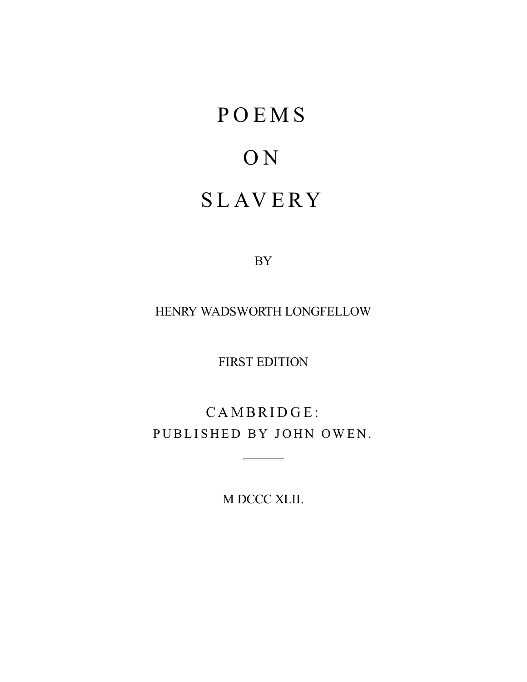# <span id="page-2-0"></span>**POEMS** O N **SLAVERY**

BY

HENRY WADSWORTH LONGFELLOW

FIRST EDITION

CAMBRIDGE: PUBLISHED BY JOHN OWEN.

 $\overline{\phantom{a}}$ 

M DCCC XLII.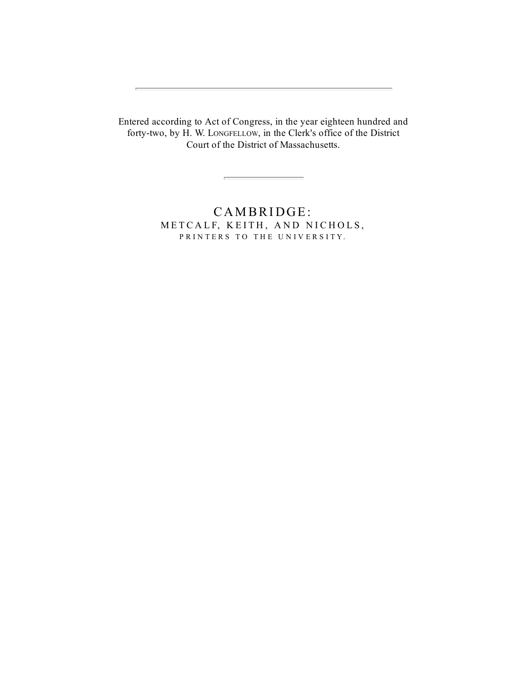Entered according to Act of Congress, in the year eighteen hundred and forty-two, by H. W. LONGFELLOW, in the Clerk's office of the District Court of the District of Massachusetts.

<u> Elizabeth Communication (Communication (Communication (Communication (Communication (Communication (Communication</u>

CAMBRIDGE: METCALF, KEITH, AND NICHOLS, PRINTERS TO THE UNIVERSITY.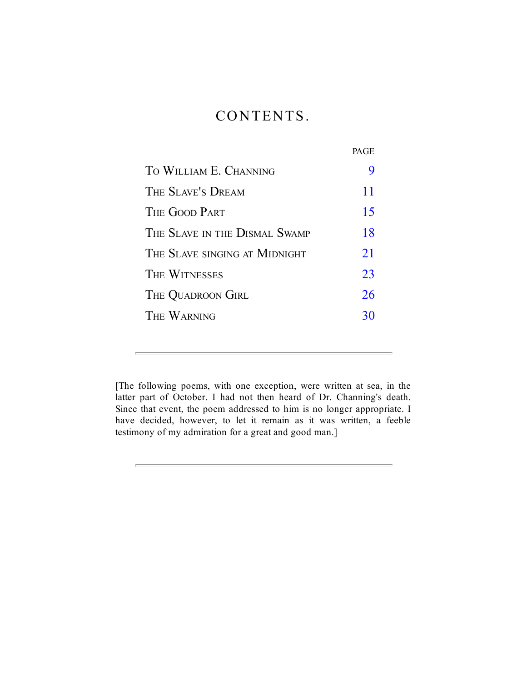## CONTENTS.

|                               | PAGE |
|-------------------------------|------|
| TO WILLIAM E. CHANNING        |      |
| THE SLAVE'S DREAM             | 11   |
| THE GOOD PART                 | 15   |
| THE SLAVE IN THE DISMAL SWAMP | 18   |
| THE SLAVE SINGING AT MIDNIGHT | 21   |
| THE WITNESSES                 | 23   |
| THE QUADROON GIRL             | 26   |
| THE WARNING                   | 30   |
|                               |      |

[The following poems, with one exception, were written at sea, in the latter part of October. I had not then heard of Dr. Channing's death. Since that event, the poem addressed to him is no longer appropriate. I have decided, however, to let it remain as it was written, a feeble testimony of my admiration for a great and good man.]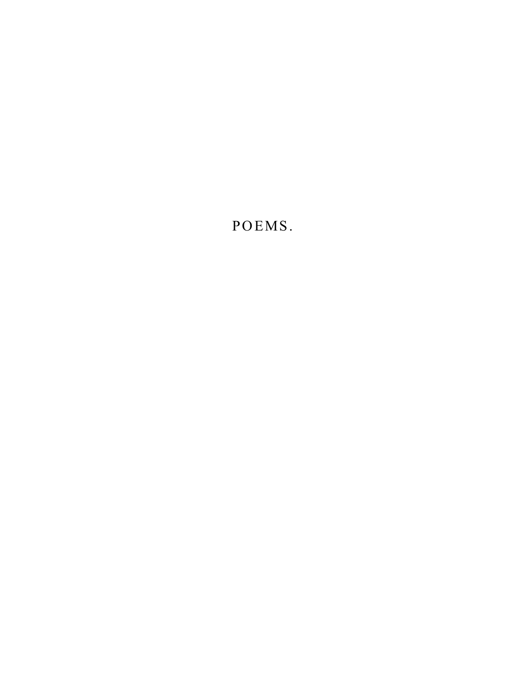POEMS.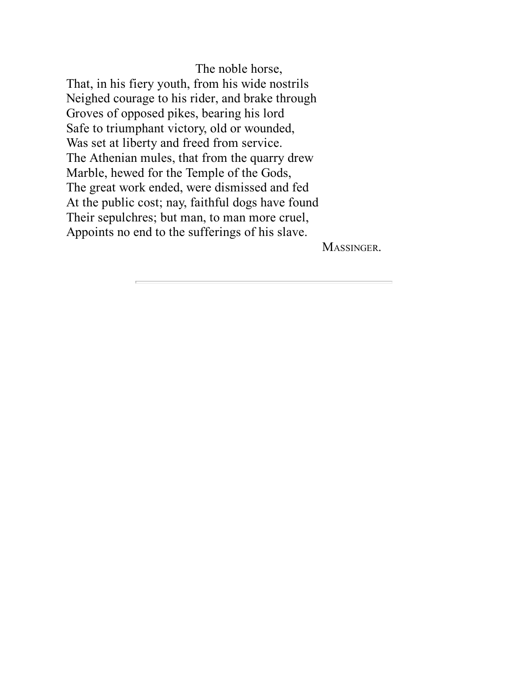The noble horse, That, in his fiery youth, from his wide nostrils Neighed courage to his rider, and brake through Groves of opposed pikes, bearing his lord Safe to triumphant victory, old or wounded, Was set at liberty and freed from service. The Athenian mules, that from the quarry drew Marble, hewed for the Temple of the Gods, The great work ended, were dismissed and fed At the public cost; nay, faithful dogs have found Their sepulchres; but man, to man more cruel, Appoints no end to the sufferings of his slave.

MASSINGER.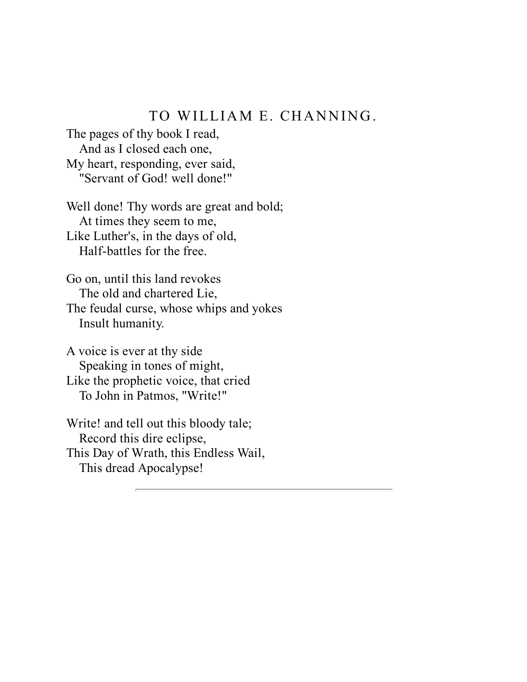#### TO WILLIAM E. CHANNING.

The pages of thy book I read, And as I closed each one, My heart, responding, ever said, "Servant of God! well done!"

Well done! Thy words are great and bold; At times they seem to me, Like Luther's, in the days of old, Half-battles for the free.

Go on, until this land revokes The old and chartered Lie, The feudal curse, whose whips and yokes Insult humanity.

A voice is ever at thy side Speaking in tones of might, Like the prophetic voice, that cried To John in Patmos, "Write!"

Write! and tell out this bloody tale; Record this dire eclipse, This Day of Wrath, this Endless Wail, This dread Apocalypse!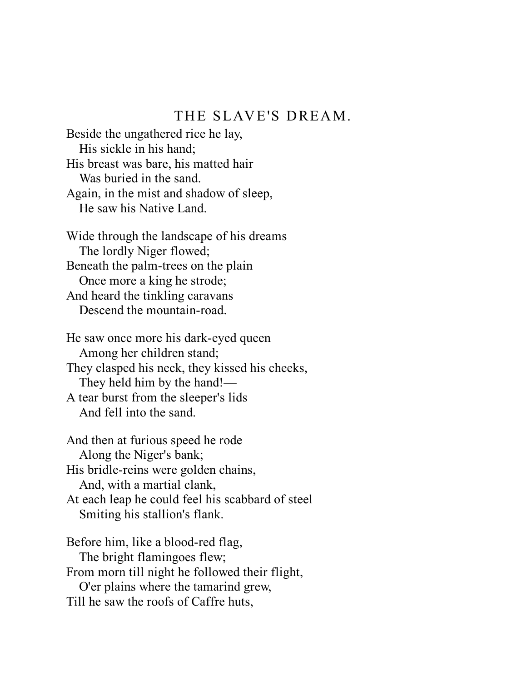#### THE SLAVE'S DREAM.

Beside the ungathered rice he lay, His sickle in his hand; His breast was bare, his matted hair Was buried in the sand. Again, in the mist and shadow of sleep, He saw his Native Land.

Wide through the landscape of his dreams The lordly Niger flowed; Beneath the palm-trees on the plain Once more a king he strode; And heard the tinkling caravans Descend the mountain-road.

He saw once more his dark-eyed queen Among her children stand; They clasped his neck, they kissed his cheeks, They held him by the hand!— A tear burst from the sleeper's lids

And fell into the sand.

And then at furious speed he rode Along the Niger's bank; His bridle-reins were golden chains, And, with a martial clank, At each leap he could feel his scabbard of steel Smiting his stallion's flank.

Before him, like a blood-red flag, The bright flamingoes flew; From morn till night he followed their flight, O'er plains where the tamarind grew, Till he saw the roofs of Caffre huts,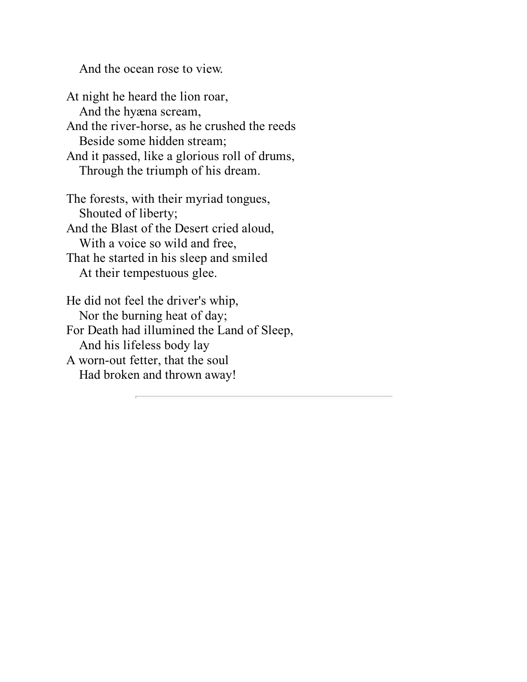And the ocean rose to view.

At night he heard the lion roar, And the hyæna scream, And the river-horse, as he crushed the reeds Beside some hidden stream; And it passed, like a glorious roll of drums, Through the triumph of his dream. The forests, with their myriad tongues, Shouted of liberty; And the Blast of the Desert cried aloud, With a voice so wild and free,

That he started in his sleep and smiled At their tempestuous glee.

He did not feel the driver's whip, Nor the burning heat of day; For Death had illumined the Land of Sleep, And his lifeless body lay A worn-out fetter, that the soul Had broken and thrown away!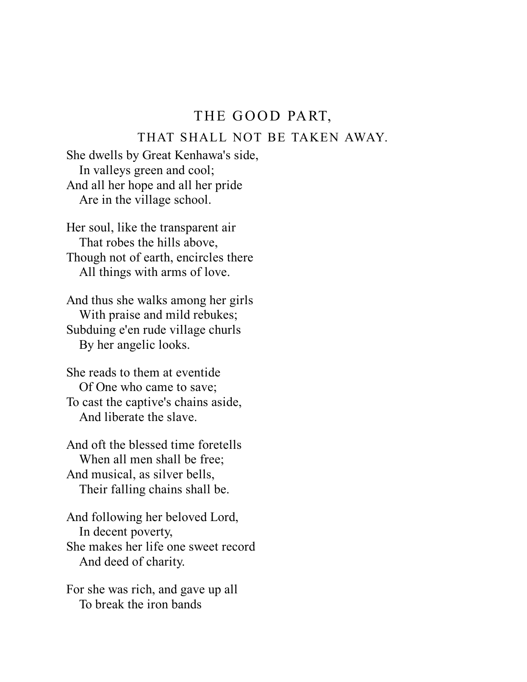#### THE GOOD PART,

#### THAT SHALL NOT BE TAKEN AWAY.

She dwells by Great Kenhawa's side, In valleys green and cool; And all her hope and all her pride Are in the village school.

Her soul, like the transparent air That robes the hills above, Though not of earth, encircles there All things with arms of love.

And thus she walks among her girls With praise and mild rebukes; Subduing e'en rude village churls By her angelic looks.

She reads to them at eventide Of One who came to save; To cast the captive's chains aside, And liberate the slave.

And oft the blessed time foretells When all men shall be free; And musical, as silver bells, Their falling chains shall be.

And following her beloved Lord, In decent poverty, She makes her life one sweet record And deed of charity.

For she was rich, and gave up all To break the iron bands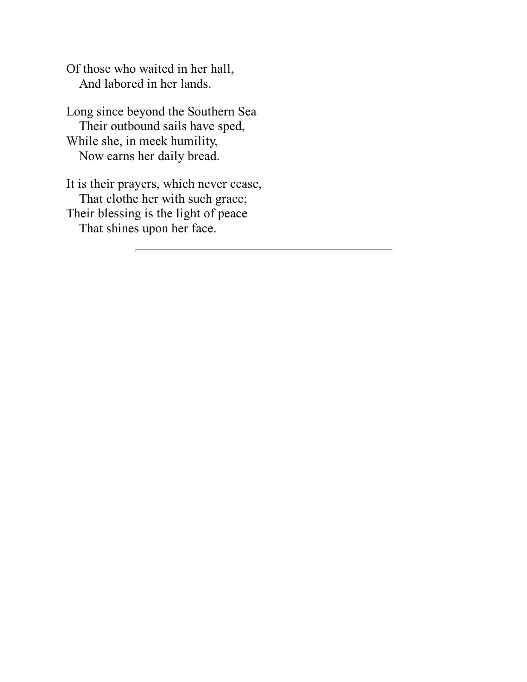Of those who waited in her hall, And labored in her lands.

Long since beyond the Southern Sea Their outbound sails have sped, While she, in meek humility, Now earns her daily bread.

It is their prayers, which never cease, That clothe her with such grace; Their blessing is the light of peace That shines upon her face.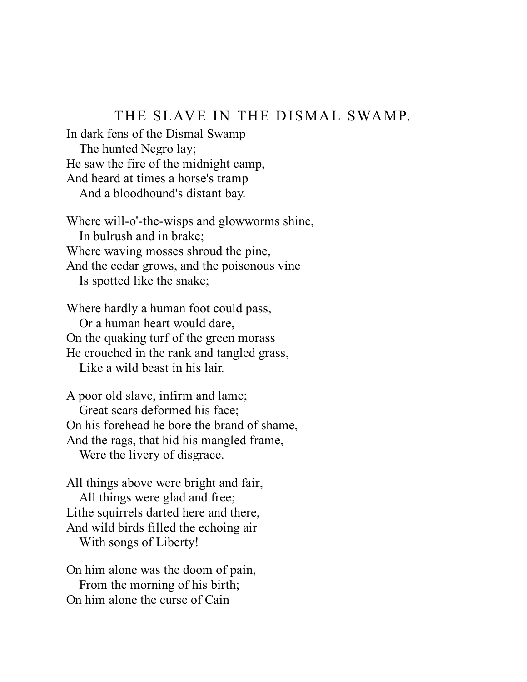#### THE SLAVE IN THE DISMAL SWAMP.

In dark fens of the Dismal Swamp The hunted Negro lay; He saw the fire of the midnight camp, And heard at times a horse's tramp And a bloodhound's distant bay.

Where will-o'-the-wisps and glowworms shine, In bulrush and in brake; Where waving mosses shroud the pine, And the cedar grows, and the poisonous vine Is spotted like the snake;

Where hardly a human foot could pass, Or a human heart would dare, On the quaking turf of the green morass He crouched in the rank and tangled grass, Like a wild beast in his lair.

A poor old slave, infirm and lame; Great scars deformed his face; On his forehead he bore the brand of shame, And the rags, that hid his mangled frame, Were the livery of disgrace.

All things above were bright and fair, All things were glad and free; Lithe squirrels darted here and there, And wild birds filled the echoing air With songs of Liberty!

On him alone was the doom of pain, From the morning of his birth; On him alone the curse of Cain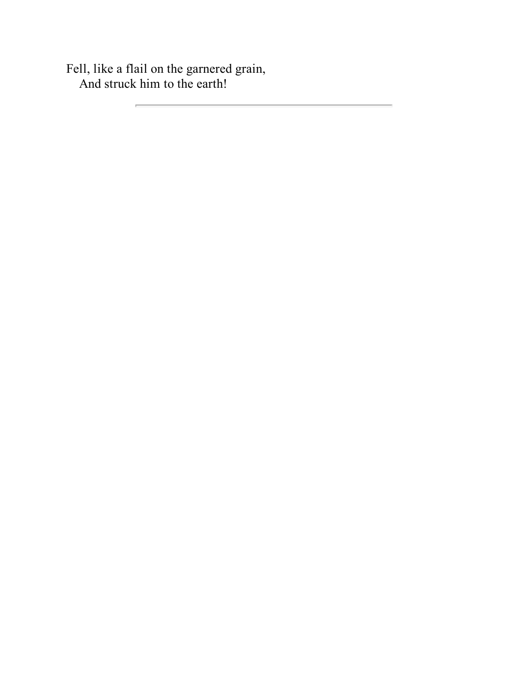Fell, like a flail on the garnered grain, And struck him to the earth!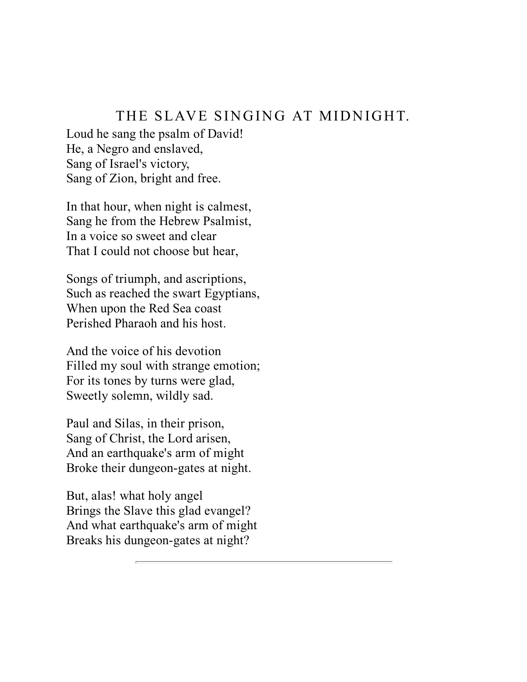#### THE SLAVE SINGING AT MIDNIGHT.

Loud he sang the psalm of David! He, a Negro and enslaved, Sang of Israel's victory, Sang of Zion, bright and free.

In that hour, when night is calmest, Sang he from the Hebrew Psalmist, In a voice so sweet and clear That I could not choose but hear,

Songs of triumph, and ascriptions, Such as reached the swart Egyptians, When upon the Red Sea coast Perished Pharaoh and his host.

And the voice of his devotion Filled my soul with strange emotion; For its tones by turns were glad, Sweetly solemn, wildly sad.

Paul and Silas, in their prison, Sang of Christ, the Lord arisen, And an earthquake's arm of might Broke their dungeon-gates at night.

But, alas! what holy angel Brings the Slave this glad evangel? And what earthquake's arm of might Breaks his dungeon-gates at night?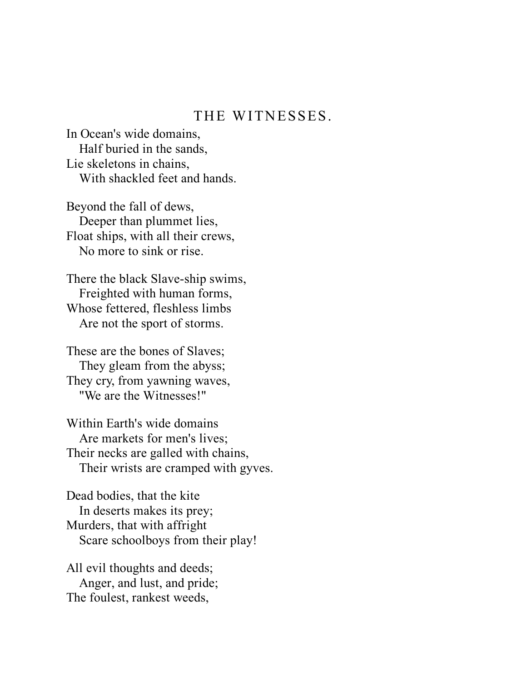#### THE WITNESSES.

In Ocean's wide domains, Half buried in the sands, Lie skeletons in chains, With shackled feet and hands.

Beyond the fall of dews, Deeper than plummet lies, Float ships, with all their crews, No more to sink or rise.

There the black Slave-ship swims, Freighted with human forms, Whose fettered, fleshless limbs Are not the sport of storms.

These are the bones of Slaves; They gleam from the abyss; They cry, from yawning waves, "We are the Witnesses!"

Within Earth's wide domains Are markets for men's lives; Their necks are galled with chains, Their wrists are cramped with gyves.

Dead bodies, that the kite In deserts makes its prey; Murders, that with affright Scare schoolboys from their play!

All evil thoughts and deeds; Anger, and lust, and pride; The foulest, rankest weeds,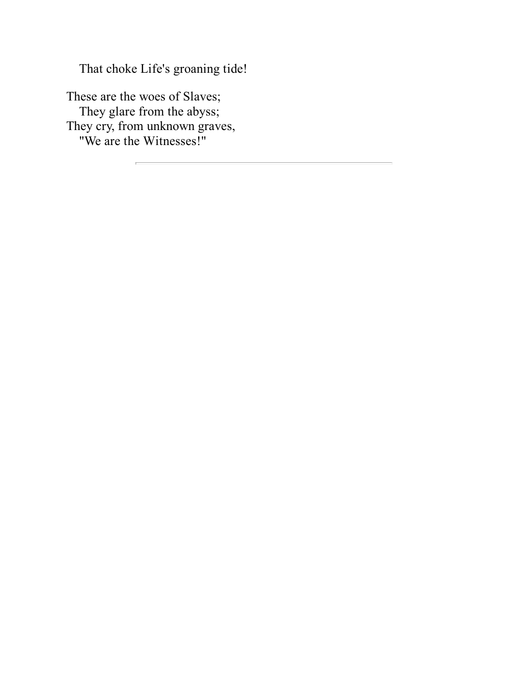That choke Life's groaning tide!

These are the woes of Slaves; They glare from the abyss; They cry, from unknown graves, "We are the Witnesses!"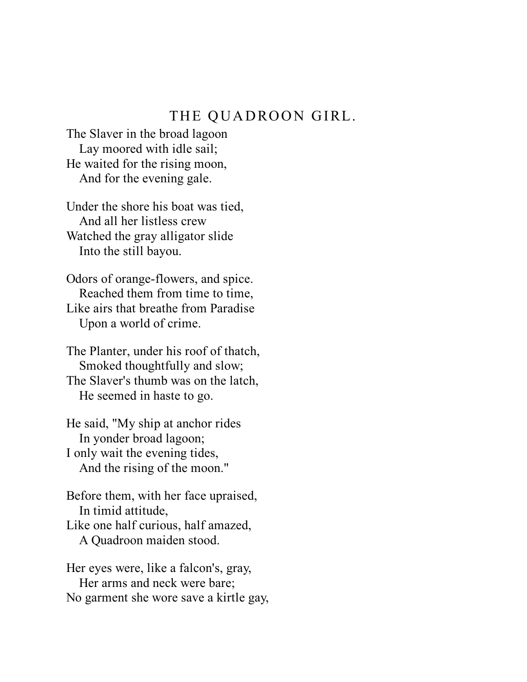#### THE QUADROON GIRL.

The Slaver in the broad lagoon Lay moored with idle sail; He waited for the rising moon, And for the evening gale.

Under the shore his boat was tied, And all her listless crew Watched the gray alligator slide Into the still bayou.

Odors of orange-flowers, and spice. Reached them from time to time, Like airs that breathe from Paradise Upon a world of crime.

The Planter, under his roof of thatch, Smoked thoughtfully and slow; The Slaver's thumb was on the latch, He seemed in haste to go.

He said, "My ship at anchor rides In yonder broad lagoon; I only wait the evening tides, And the rising of the moon."

Before them, with her face upraised, In timid attitude,

Like one half curious, half amazed, A Quadroon maiden stood.

Her eyes were, like a falcon's, gray, Her arms and neck were bare; No garment she wore save a kirtle gay,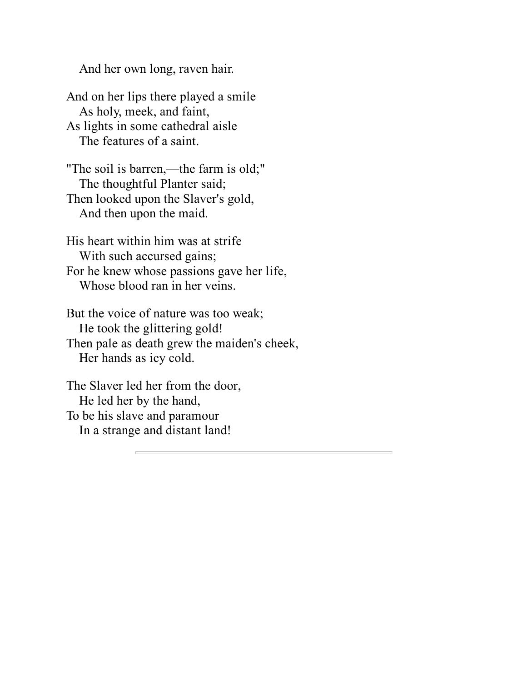And her own long, raven hair.

And on her lips there played a smile As holy, meek, and faint, As lights in some cathedral aisle The features of a saint.

"The soil is barren,—the farm is old;" The thoughtful Planter said; Then looked upon the Slaver's gold, And then upon the maid.

His heart within him was at strife With such accursed gains; For he knew whose passions gave her life, Whose blood ran in her veins.

But the voice of nature was too weak; He took the glittering gold! Then pale as death grew the maiden's cheek, Her hands as icy cold.

The Slaver led her from the door, He led her by the hand, To be his slave and paramour In a strange and distant land!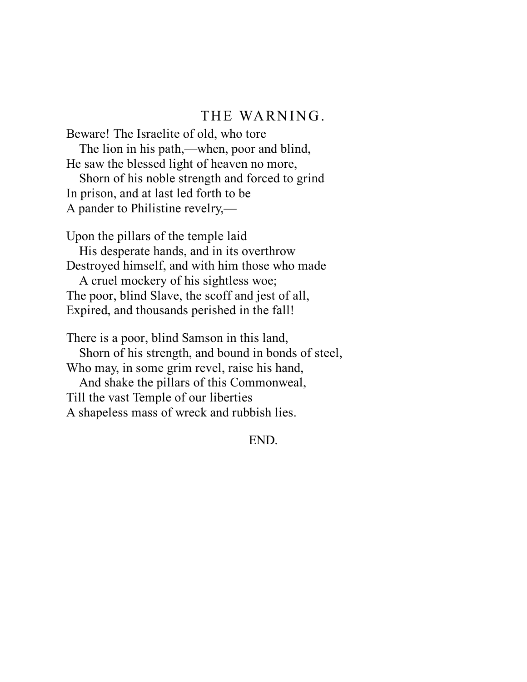#### THE WARNING.

Beware! The Israelite of old, who tore The lion in his path,—when, poor and blind, He saw the blessed light of heaven no more, Shorn of his noble strength and forced to grind

In prison, and at last led forth to be A pander to Philistine revelry,—

Upon the pillars of the temple laid

His desperate hands, and in its overthrow Destroyed himself, and with him those who made

A cruel mockery of his sightless woe; The poor, blind Slave, the scoff and jest of all, Expired, and thousands perished in the fall!

There is a poor, blind Samson in this land, Shorn of his strength, and bound in bonds of steel, Who may, in some grim revel, raise his hand, And shake the pillars of this Commonweal, Till the vast Temple of our liberties A shapeless mass of wreck and rubbish lies.

END.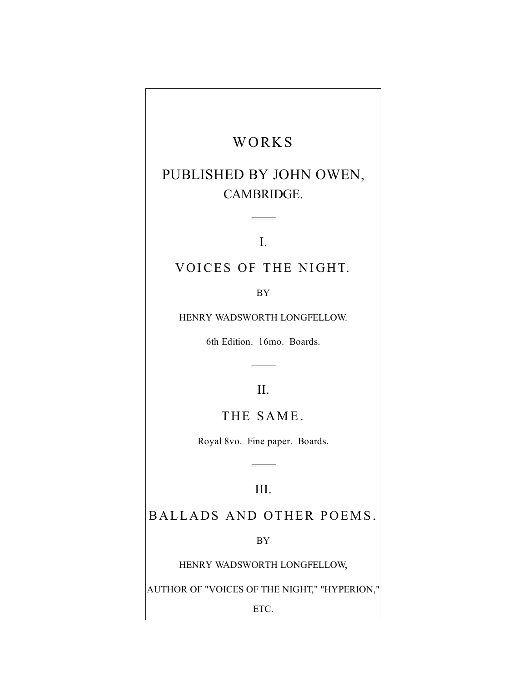## WORKS

## PUBLISHED BY JOHN OWEN, CAMBRIDGE.

I.

#### VOICES OF THE NIGHT.

BY

HENRY WADSWORTH LONGFELLOW.

6th Edition. 16mo. Boards.

#### II.

THE SAME.

Royal 8vo. Fine paper. Boards.

#### III.

#### BALLADS AND OTHER POEMS.

BY

HENRY WADSWORTH LONGFELLOW,

AUTHOR OF "VOICES OF THE NIGHT," "HYPERION,"

ETC.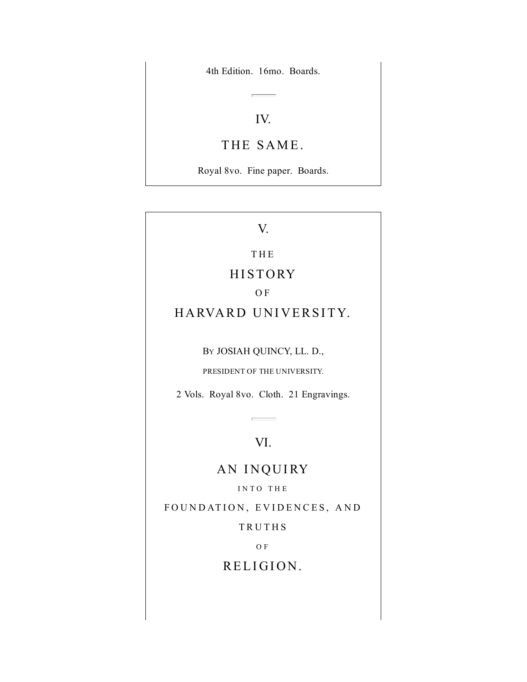4th Edition. 16mo. Boards.

#### IV.

#### THE SAME.

Royal 8vo. Fine paper. Boards.

#### V.

#### T H E

#### **HISTORY**

#### O F

#### HARVARD UNIVERSITY.

BY JOSIAH QUINCY, LL. D.,

PRESIDENT OF THE UNIVERSITY.

2 Vols. Royal 8vo. Cloth. 21 Engravings.

#### VI.

## AN INQUIRY

INTO THE

FOUNDATION, EVIDENCES, AND

**TRUTHS** 

O F

RELIGION.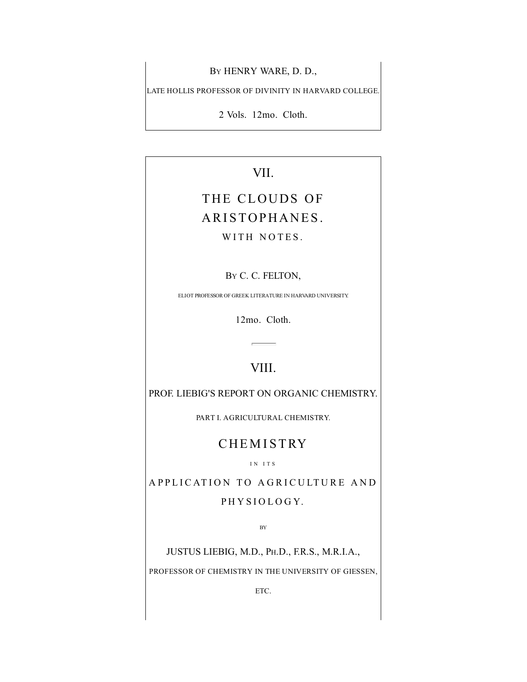BY HENRY WARE, D. D.,

LATE HOLLIS PROFESSOR OF DIVINITY IN HARVARD COLLEGE.

2 Vols. 12mo. Cloth.

VII.

## THE CLOUDS OF ARISTOPHANES.

WITH NOTES.

BY C. C. FELTON,

ELIOT PROFESSOR OF GREEK LITERATURE IN HARVARD UNIVERSITY.

12mo. Cloth.

### VIII.

PROF. LIEBIG'S REPORT ON ORGANIC CHEMISTRY.

PART I. AGRICULTURAL CHEMISTRY.

### **CHEMISTRY**

I N I T S

APPLICATION TO AGRICULTURE AND PHYSIOLOGY.

BY

JUSTUS LIEBIG, M.D., PH.D., F.R.S., M.R.I.A.,

PROFESSOR OF CHEMISTRY IN THE UNIVERSITY OF GIESSEN,

ETC.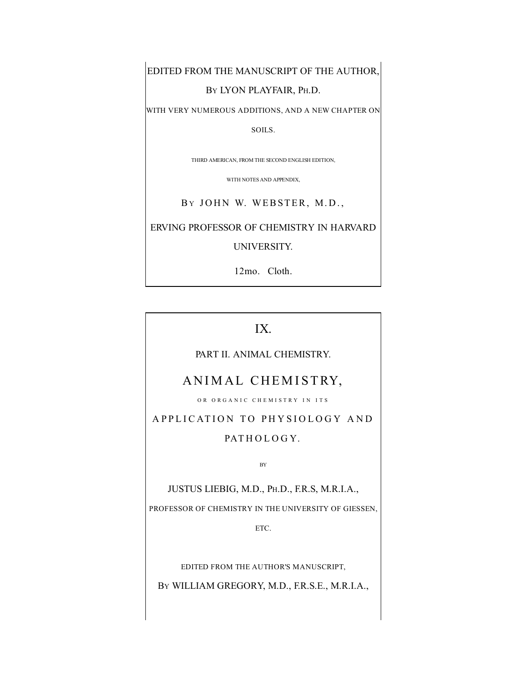EDITED FROM THE MANUSCRIPT OF THE AUTHOR,

BY LYON PLAYFAIR, PH.D.

WITH VERY NUMEROUS ADDITIONS, AND A NEW CHAPTER ON

SOILS.

THIRD AMERICAN, FROM THE SECOND ENGLISH EDITION,

WITH NOTES AND APPENDIX,

BY JOHN W. WEBSTER, M.D.,

ERVING PROFESSOR OF CHEMISTRY IN HARVARD

UNIVERSITY.

12mo. Cloth.

#### IX.

#### PART II. ANIMAL CHEMISTRY.

#### ANIMAL CHEMISTRY,

OR ORGANIC CHEMISTRY IN ITS

APPLICATION TO PHYSIOLOGY AND PATHOLOGY.

BY

JUSTUS LIEBIG, M.D., PH.D., F.R.S, M.R.I.A.,

PROFESSOR OF CHEMISTRY IN THE UNIVERSITY OF GIESSEN,

ETC.

EDITED FROM THE AUTHOR'S MANUSCRIPT,

BY WILLIAM GREGORY, M.D., F.R.S.E., M.R.I.A.,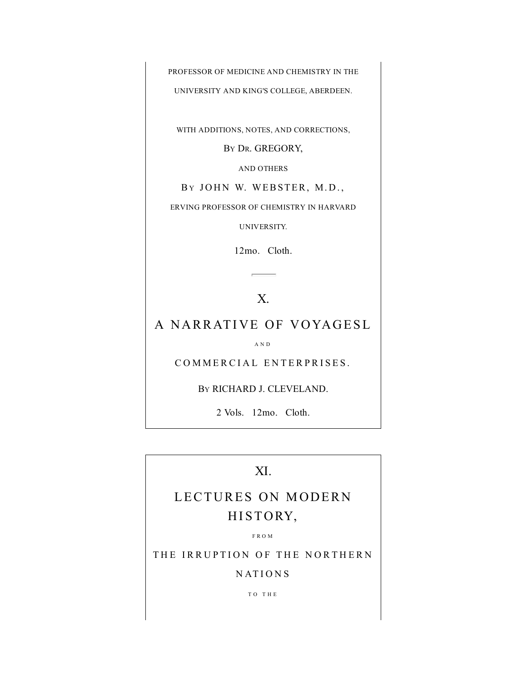PROFESSOR OF MEDICINE AND CHEMISTRY IN THE

UNIVERSITY AND KING'S COLLEGE, ABERDEEN.

WITH ADDITIONS, NOTES, AND CORRECTIONS,

BY DR. GREGORY,

AND OTHERS

BY JOHN W. WEBSTER, M.D.,

ERVING PROFESSOR OF CHEMISTRY IN HARVARD

UNIVERSITY.

12mo. Cloth.

#### X.

#### A NARRATIVE OF VOYAGESL

A N D

COMMERCIAL ENTERPRISES.

BY RICHARD J. CLEVELAND.

2 Vols. 12mo. Cloth.

#### XI.

## LECTURES ON MODERN HISTORY,

F R O M

THE IRRUPTION OF THE NORTHERN

N AT I O N S

T O T H E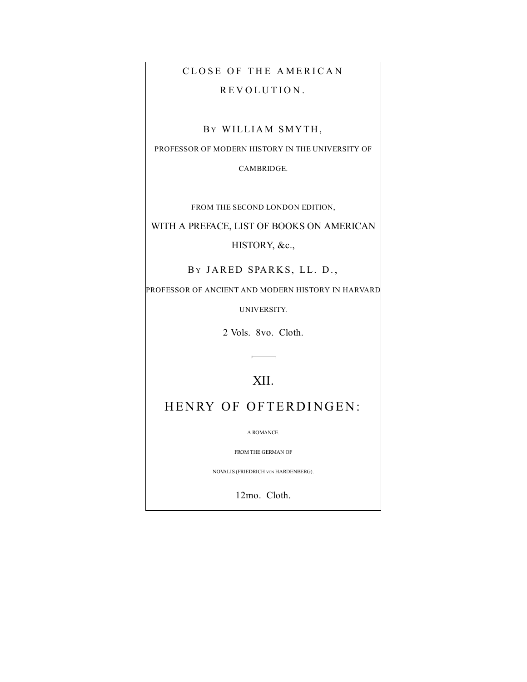## CLOSE OF THE AMERICAN REVOLUTION.

#### BY WILLIAM SMYTH,

PROFESSOR OF MODERN HISTORY IN THE UNIVERSITY OF

CAMBRIDGE.

FROM THE SECOND LONDON EDITION,

WITH A PREFACE, LIST OF BOOKS ON AMERICAN

HISTORY, &c.,

BY JARED SPARKS, LL. D.,

PROFESSOR OF ANCIENT AND MODERN HISTORY IN HARVARD

UNIVERSITY.

2 Vols. 8vo. Cloth.

 $\overline{a}$  $\overline{\phantom{0}}$ 

#### XII.

HENRY OF OFTERDINGEN:

A ROMANCE.

FROM THE GERMAN OF

NOVALIS (FRIEDRICH VON HARDENBERG).

12mo. Cloth.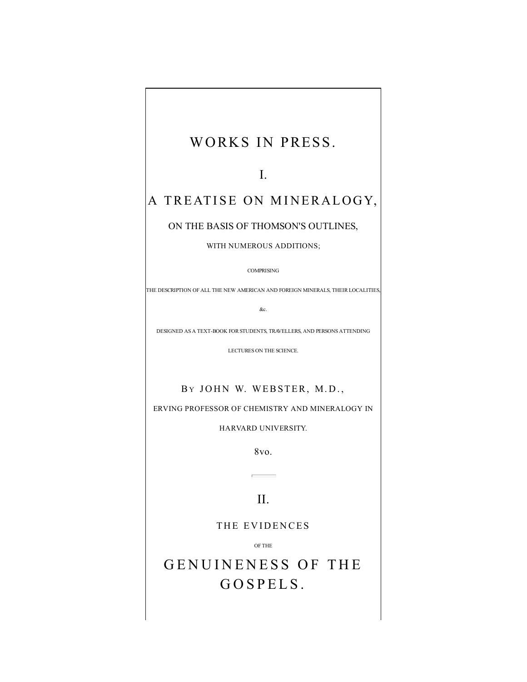## WORKS IN PRESS.

I.

## A TREATISE ON MINERALOGY,

#### ON THE BASIS OF THOMSON'S OUTLINES,

#### WITH NUMEROUS ADDITIONS;

#### COMPRISING

THE DESCRIPTION OF ALL THE NEW AMERICAN AND FOREIGN MINERALS, THEIR LOCALITIES,

&c.

DESIGNED AS A TEXT-BOOK FOR STUDENTS, TRAVELLERS, AND PERSONS ATTENDING

LECTURES ON THE SCIENCE.

#### BY JOHN W. WEBSTER, M.D.,

ERVING PROFESSOR OF CHEMISTRY AND MINERALOGY IN

HARVARD UNIVERSITY.

8vo.

#### II.

#### THE EVIDENCES

OF THE

GENUINENESS OF THE GOSPELS.